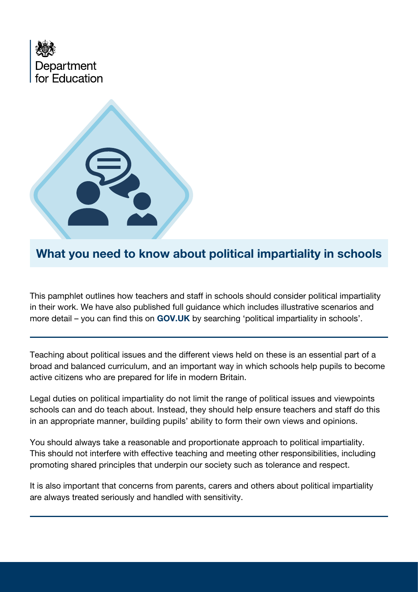



What you need to know about political impartiality in schools

This pamphlet outlines how teachers and staff in schools should consider political impartiality in their work. We have also published full guidance which includes illustrative scenarios and more detail – you can find this on **GOV.UK** [by searching 'political impartiality in schools'.](https://www.gov.uk/government/publications/political-impartiality-in-schools)

Teaching about political issues and the different views held on these is an essential part of a broad and balanced curriculum, and an important way in which schools help pupils to become active citizens who are prepared for life in modern Britain.

Legal duties on political impartiality do not limit the range of political issues and viewpoints schools can and do teach about. Instead, they should help ensure teachers and staff do this in an appropriate manner, building pupils' ability to form their own views and opinions.

You should always take a reasonable and proportionate approach to political impartiality. This should not interfere with effective teaching and meeting other responsibilities, including promoting shared principles that underpin our society such as tolerance and respect.

It is also important that concerns from parents, carers and others about political impartiality are always treated seriously and handled with sensitivity.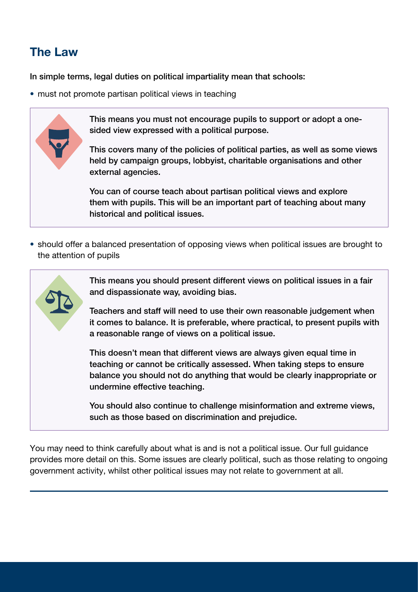## The Law

In simple terms, legal duties on political impartiality mean that schools:

• must not promote partisan political views in teaching



• should offer a balanced presentation of opposing views when political issues are brought to the attention of pupils

This means you should present different views on political issues in a fair and dispassionate way, avoiding bias. Teachers and staff will need to use their own reasonable judgement when it comes to balance. It is preferable, where practical, to present pupils with a reasonable range of views on a political issue. This doesn't mean that different views are always given equal time in teaching or cannot be critically assessed. When taking steps to ensure balance you should not do anything that would be clearly inappropriate or undermine effective teaching.

You should also continue to challenge misinformation and extreme views, such as those based on discrimination and prejudice.

You may need to think carefully about what is and is not a political issue. Our full guidance provides more detail on this. Some issues are clearly political, such as those relating to ongoing government activity, whilst other political issues may not relate to government at all.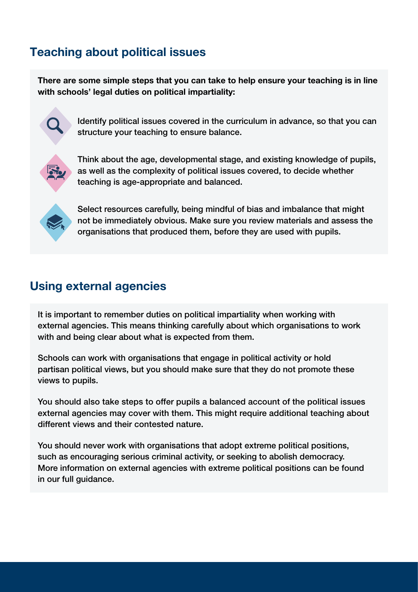## Teaching about political issues

There are some simple steps that you can take to help ensure your teaching is in line with schools' legal duties on political impartiality:



Identify political issues covered in the curriculum in advance, so that you can structure your teaching to ensure balance.



Think about the age, developmental stage, and existing knowledge of pupils, as well as the complexity of political issues covered, to decide whether teaching is age-appropriate and balanced.



Select resources carefully, being mindful of bias and imbalance that might not be immediately obvious. Make sure you review materials and assess the organisations that produced them, before they are used with pupils.

## Using external agencies

It is important to remember duties on political impartiality when working with external agencies. This means thinking carefully about which organisations to work with and being clear about what is expected from them.

Schools can work with organisations that engage in political activity or hold partisan political views, but you should make sure that they do not promote these views to pupils.

You should also take steps to offer pupils a balanced account of the political issues external agencies may cover with them. This might require additional teaching about different views and their contested nature.

You should never work with organisations that adopt extreme political positions, such as encouraging serious criminal activity, or seeking to abolish democracy. More information on external agencies with extreme political positions can be found in our full guidance.